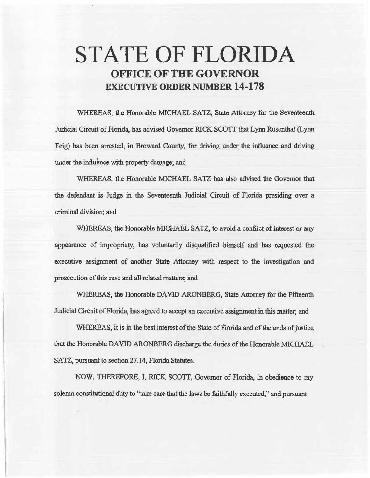# STATE OF FLORIDA OFFICE OF THE GOVERNOR EXECUTIVE ORDER NUMBER 14-178

WHEREAS, the Honorable MICHAEL SATZ, State Attorney for the Seventeenth. Judicial Circuit of Florida, has advised Governor RICK SCOTT that Lynn Rosenthal (Lynn Feig) has been arrested, in Broward County, for driving under the influence and driving under the influence with property damage; and

WHEREAS, the Honorable MICHAEL SATZ has also advised the Governor that the defendant is Judge in the Seventeenth Judicial Circuit of Florida presiding over a criminal division; and

WHEREAS, the Honorable MICHAEL SATZ, to avoid a conflict of interest or any appearance of impropriety, has voluntarily disqualified himself and has requested the executive assignment of another State Attorney with respect to the investigation and prosecution of this case and all related matters; and

WHEREAS, the Honorable DAVID ARONBERG, State Attorney for the Fifteenth Judicial Circuit of Florida, has agreed to accept an executive assignment in this matter; and

WHEREAS, it is in the best interest of the State of Florida and of the ends of justice that the Honorable DAVID ARONBERG discharge the duties of the Honorable MICHAEL SATZ, pursuant to section 27.14, Florida Statutes.

NOW, THEREFORE, I, RICK SCOIT, Governor of Florida, in obedience to my solemn constitutional duty to "take care that the laws be faithfully executed," and pursuant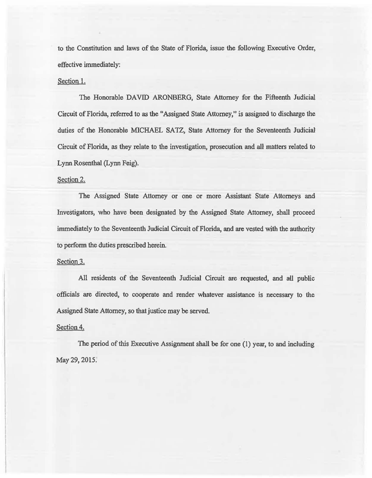to the Constitution and laws of the State of Florida, issue the following Executive Order, effective immediately:

### Section 1.

The Honorable DAVID ARONBERG, State Attorney for the Fifteenth Judicial Circuit of Florida, referred to as the "Assigned State Attorney," is assigned to discharge the duties of the Honorable MICHAEL SATZ, State Attorney for the Seventeenth Judicial Circuit of Florida, as they relate to the investigation, prosecution and all matters related to Lynn Rosenthal (Lynn Feig).

## Section 2.

The Assigned State Attorney or one or more Assistant State Attorneys and Investigators, who have been designated by the Assigned State Attorney, shall proceed immediately to the Seventeenth Judicial Circuit of Florida, and are vested with the authority to perfonn the duties prescribed herein.

#### Section 3.

All residents of the Seventeenth Judicial Circuit are requested, and all public officials are directed, to cooperate and render whatever assistance is necessary to the Assigned State Attorney, so that justice may be served.

#### Section 4.

The period of this Executive Assignment shalt be for one (1) year, to and including May 29, 2015.'